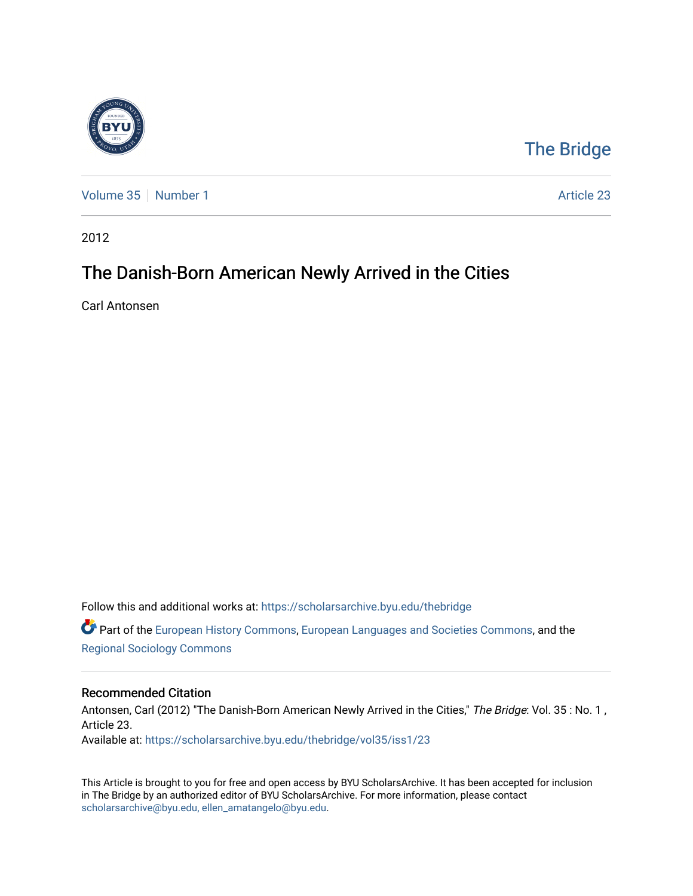

## [The Bridge](https://scholarsarchive.byu.edu/thebridge)

[Volume 35](https://scholarsarchive.byu.edu/thebridge/vol35) [Number 1](https://scholarsarchive.byu.edu/thebridge/vol35/iss1) Article 23

2012

## The Danish-Born American Newly Arrived in the Cities

Carl Antonsen

Follow this and additional works at: [https://scholarsarchive.byu.edu/thebridge](https://scholarsarchive.byu.edu/thebridge?utm_source=scholarsarchive.byu.edu%2Fthebridge%2Fvol35%2Fiss1%2F23&utm_medium=PDF&utm_campaign=PDFCoverPages)  **C** Part of the [European History Commons](http://network.bepress.com/hgg/discipline/492?utm_source=scholarsarchive.byu.edu%2Fthebridge%2Fvol35%2Fiss1%2F23&utm_medium=PDF&utm_campaign=PDFCoverPages), [European Languages and Societies Commons,](http://network.bepress.com/hgg/discipline/482?utm_source=scholarsarchive.byu.edu%2Fthebridge%2Fvol35%2Fiss1%2F23&utm_medium=PDF&utm_campaign=PDFCoverPages) and the

[Regional Sociology Commons](http://network.bepress.com/hgg/discipline/427?utm_source=scholarsarchive.byu.edu%2Fthebridge%2Fvol35%2Fiss1%2F23&utm_medium=PDF&utm_campaign=PDFCoverPages) 

## Recommended Citation

Antonsen, Carl (2012) "The Danish-Born American Newly Arrived in the Cities," The Bridge: Vol. 35: No. 1, Article 23. Available at: [https://scholarsarchive.byu.edu/thebridge/vol35/iss1/23](https://scholarsarchive.byu.edu/thebridge/vol35/iss1/23?utm_source=scholarsarchive.byu.edu%2Fthebridge%2Fvol35%2Fiss1%2F23&utm_medium=PDF&utm_campaign=PDFCoverPages)

This Article is brought to you for free and open access by BYU ScholarsArchive. It has been accepted for inclusion in The Bridge by an authorized editor of BYU ScholarsArchive. For more information, please contact [scholarsarchive@byu.edu, ellen\\_amatangelo@byu.edu](mailto:scholarsarchive@byu.edu,%20ellen_amatangelo@byu.edu).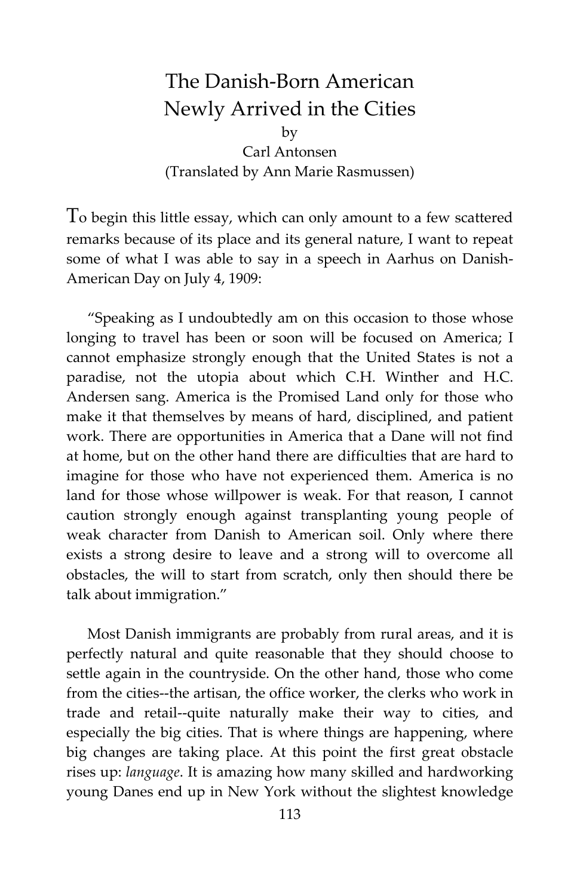## The Danish-Born American Newly Arrived in the Cities by

Carl Antonsen (Translated by Ann Marie Rasmussen)

To begin this little essay, which can only amount to a few scattered remarks because of its place and its general nature, I want to repeat some of what I was able to say in a speech in Aarhus on Danish-American Day on July 4, 1909:

"Speaking as I undoubtedly am on this occasion to those whose longing to travel has been or soon will be focused on America; I cannot emphasize strongly enough that the United States is not a paradise, not the utopia about which C.H. Winther and H.C. Andersen sang. America is the Promised Land only for those who make it that themselves by means of hard, disciplined, and patient work. There are opportunities in America that a Dane will not find at home, but on the other hand there are difficulties that are hard to imagine for those who have not experienced them. America is no land for those whose willpower is weak. For that reason, I cannot caution strongly enough against transplanting young people of weak character from Danish to American soil. Only where there exists a strong desire to leave and a strong will to overcome all obstacles, the will to start from scratch, only then should there be talk about immigration."

Most Danish immigrants are probably from rural areas, and it is perfectly natural and quite reasonable that they should choose to settle again in the countryside. On the other hand, those who come from the cities--the artisan, the office worker, the clerks who work in trade and retail--quite naturally make their way to cities, and especially the big cities. That is where things are happening, where big changes are taking place. At this point the first great obstacle rises up: *language*. It is amazing how many skilled and hardworking young Danes end up in New York without the slightest knowledge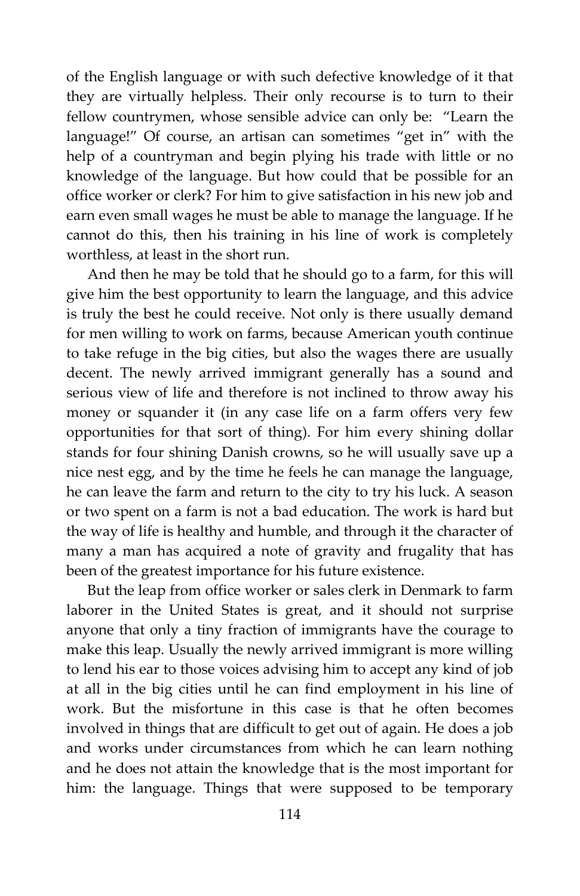of the English language or with such defective knowledge of it that they are virtually helpless. Their only recourse is to turn to their fellow countrymen, whose sensible advice can only be: "Learn the language!" Of course, an artisan can sometimes "get in" with the help of a countryman and begin plying his trade with little or no knowledge of the language. But how could that be possible for an office worker or clerk? For him to give satisfaction in his new job and earn even small wages he must be able to manage the language. If he cannot do this, then his training in his line of work is completely worthless, at least in the short run.

And then he may be told that he should go to a farm, for this will give him the best opportunity to learn the language, and this advice is truly the best he could receive. Not only is there usually demand for men willing to work on farms, because American youth continue to take refuge in the big cities, but also the wages there are usually decent. The newly arrived immigrant generally has a sound and serious view of life and therefore is not inclined to throw away his money or squander it (in any case life on a farm offers very few opportunities for that sort of thing). For him every shining dollar stands for four shining Danish crowns, so he will usually save up a nice nest egg, and by the time he feels he can manage the language, he can leave the farm and return to the city to try his luck. A season or two spent on a farm is not a bad education. The work is hard but the way of life is healthy and humble, and through it the character of many a man has acquired a note of gravity and frugality that has been of the greatest importance for his future existence.

But the leap from office worker or sales clerk in Denmark to farm laborer in the United States is great, and it should not surprise anyone that only a tiny fraction of immigrants have the courage to make this leap. Usually the newly arrived immigrant is more willing to lend his ear to those voices advising him to accept any kind of job at all in the big cities until he can find employment in his line of work. But the misfortune in this case is that he often becomes involved in things that are difficult to get out of again. He does a job and works under circumstances from which he can learn nothing and he does not attain the knowledge that is the most important for him: the language. Things that were supposed to be temporary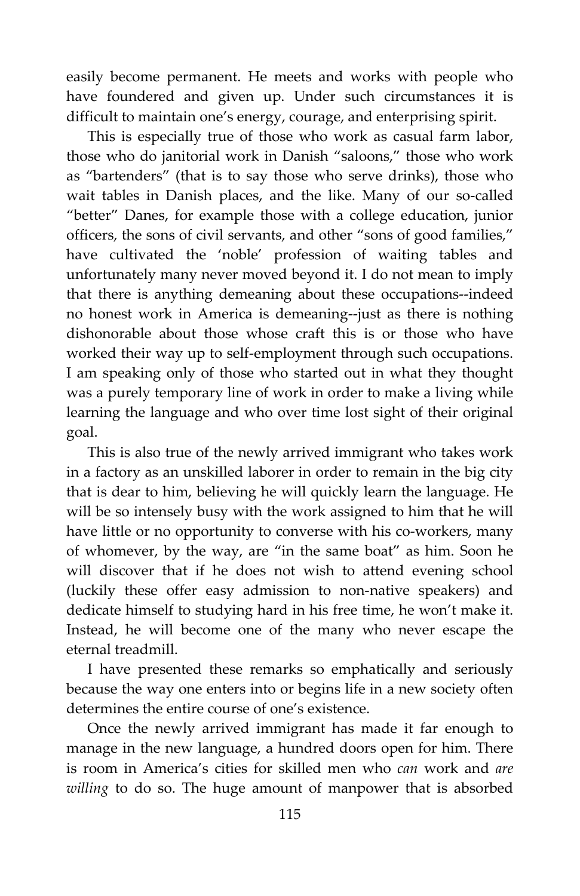easily become permanent. He meets and works with people who have foundered and given up. Under such circumstances it is difficult to maintain one's energy, courage, and enterprising spirit.

This is especially true of those who work as casual farm labor, those who do janitorial work in Danish "saloons," those who work as "bartenders" (that is to say those who serve drinks), those who wait tables in Danish places, and the like. Many of our so-called "better" Danes, for example those with a college education, junior officers, the sons of civil servants, and other "sons of good families," have cultivated the 'noble' profession of waiting tables and unfortunately many never moved beyond it. I do not mean to imply that there is anything demeaning about these occupations--indeed no honest work in America is demeaning--just as there is nothing dishonorable about those whose craft this is or those who have worked their way up to self-employment through such occupations. I am speaking only of those who started out in what they thought was a purely temporary line of work in order to make a living while learning the language and who over time lost sight of their original goal.

This is also true of the newly arrived immigrant who takes work in a factory as an unskilled laborer in order to remain in the big city that is dear to him, believing he will quickly learn the language. He will be so intensely busy with the work assigned to him that he will have little or no opportunity to converse with his co-workers, many of whomever, by the way, are "in the same boat" as him. Soon he will discover that if he does not wish to attend evening school (luckily these offer easy admission to non-native speakers) and dedicate himself to studying hard in his free time, he won't make it. Instead, he will become one of the many who never escape the eternal treadmill.

I have presented these remarks so emphatically and seriously because the way one enters into or begins life in a new society often determines the entire course of one's existence.

Once the newly arrived immigrant has made it far enough to manage in the new language, a hundred doors open for him. There is room in America's cities for skilled men who *can* work and *are willing* to do so. The huge amount of manpower that is absorbed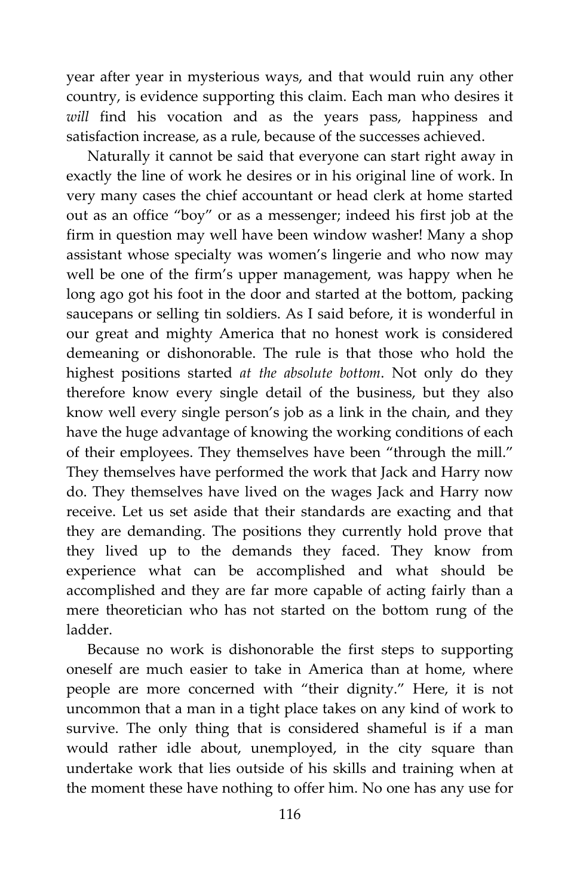year after year in mysterious ways, and that would ruin any other country, is evidence supporting this claim. Each man who desires it *will* find his vocation and as the years pass, happiness and satisfaction increase, as a rule, because of the successes achieved.

Naturally it cannot be said that everyone can start right away in exactly the line of work he desires or in his original line of work. In very many cases the chief accountant or head clerk at home started out as an office "boy" or as a messenger; indeed his first job at the firm in question may well have been window washer! Many a shop assistant whose specialty was women's lingerie and who now may well be one of the firm's upper management, was happy when he long ago got his foot in the door and started at the bottom, packing saucepans or selling tin soldiers. As I said before, it is wonderful in our great and mighty America that no honest work is considered demeaning or dishonorable. The rule is that those who hold the highest positions started *at the absolute bottom*. Not only do they therefore know every single detail of the business, but they also know well every single person's job as a link in the chain, and they have the huge advantage of knowing the working conditions of each of their employees. They themselves have been "through the mill." They themselves have performed the work that Jack and Harry now do. They themselves have lived on the wages Jack and Harry now receive. Let us set aside that their standards are exacting and that they are demanding. The positions they currently hold prove that they lived up to the demands they faced. They know from experience what can be accomplished and what should be accomplished and they are far more capable of acting fairly than a mere theoretician who has not started on the bottom rung of the ladder.

Because no work is dishonorable the first steps to supporting oneself are much easier to take in America than at home, where people are more concerned with "their dignity." Here, it is not uncommon that a man in a tight place takes on any kind of work to survive. The only thing that is considered shameful is if a man would rather idle about, unemployed, in the city square than undertake work that lies outside of his skills and training when at the moment these have nothing to offer him. No one has any use for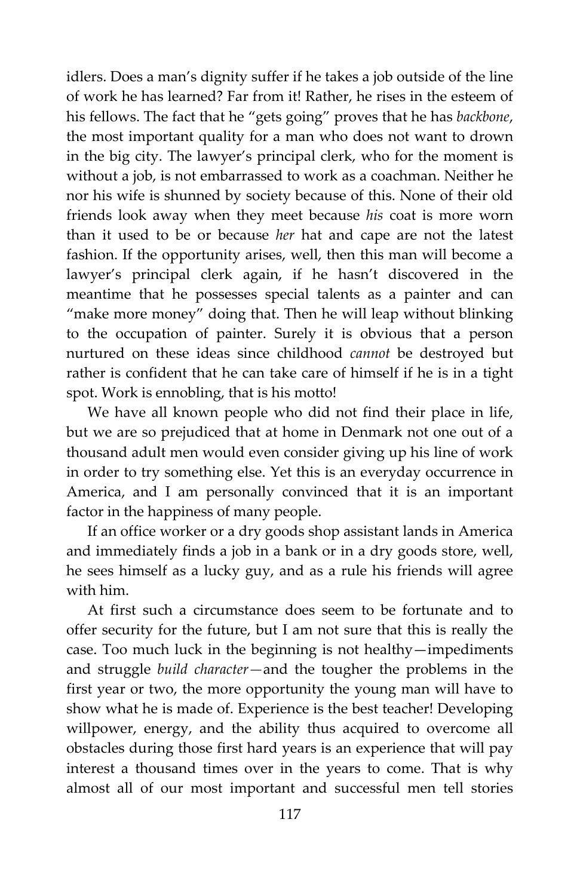idlers. Does a man's dignity suffer if he takes a job outside of the line of work he has learned? Far from it! Rather, he rises in the esteem of his fellows. The fact that he "gets going" proves that he has *backbone*, the most important quality for a man who does not want to drown in the big city. The lawyer's principal clerk, who for the moment is without a job, is not embarrassed to work as a coachman. Neither he nor his wife is shunned by society because of this. None of their old friends look away when they meet because *his* coat is more worn than it used to be or because *her* hat and cape are not the latest fashion. If the opportunity arises, well, then this man will become a lawyer's principal clerk again, if he hasn't discovered in the meantime that he possesses special talents as a painter and can "make more money" doing that. Then he will leap without blinking to the occupation of painter. Surely it is obvious that a person nurtured on these ideas since childhood *cannot* be destroyed but rather is confident that he can take care of himself if he is in a tight spot. Work is ennobling, that is his motto!

We have all known people who did not find their place in life, but we are so prejudiced that at home in Denmark not one out of a thousand adult men would even consider giving up his line of work in order to try something else. Yet this is an everyday occurrence in America, and I am personally convinced that it is an important factor in the happiness of many people.

If an office worker or a dry goods shop assistant lands in America and immediately finds a job in a bank or in a dry goods store, well, he sees himself as a lucky guy, and as a rule his friends will agree with him.

At first such a circumstance does seem to be fortunate and to offer security for the future, but I am not sure that this is really the case. Too much luck in the beginning is not healthy—impediments and struggle *build character—*and the tougher the problems in the first year or two, the more opportunity the young man will have to show what he is made of. Experience is the best teacher! Developing willpower, energy, and the ability thus acquired to overcome all obstacles during those first hard years is an experience that will pay interest a thousand times over in the years to come. That is why almost all of our most important and successful men tell stories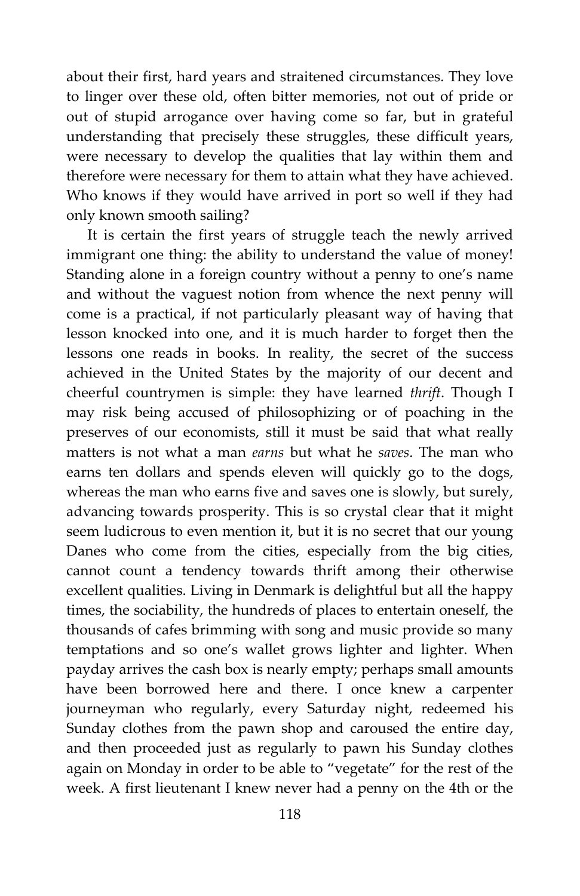about their first, hard years and straitened circumstances. They love to linger over these old, often bitter memories, not out of pride or out of stupid arrogance over having come so far, but in grateful understanding that precisely these struggles, these difficult years, were necessary to develop the qualities that lay within them and therefore were necessary for them to attain what they have achieved. Who knows if they would have arrived in port so well if they had only known smooth sailing?

It is certain the first years of struggle teach the newly arrived immigrant one thing: the ability to understand the value of money! Standing alone in a foreign country without a penny to one's name and without the vaguest notion from whence the next penny will come is a practical, if not particularly pleasant way of having that lesson knocked into one, and it is much harder to forget then the lessons one reads in books. In reality, the secret of the success achieved in the United States by the majority of our decent and cheerful countrymen is simple: they have learned *thrift*. Though I may risk being accused of philosophizing or of poaching in the preserves of our economists, still it must be said that what really matters is not what a man *earns* but what he *saves*. The man who earns ten dollars and spends eleven will quickly go to the dogs, whereas the man who earns five and saves one is slowly, but surely, advancing towards prosperity. This is so crystal clear that it might seem ludicrous to even mention it, but it is no secret that our young Danes who come from the cities, especially from the big cities, cannot count a tendency towards thrift among their otherwise excellent qualities. Living in Denmark is delightful but all the happy times, the sociability, the hundreds of places to entertain oneself, the thousands of cafes brimming with song and music provide so many temptations and so one's wallet grows lighter and lighter. When payday arrives the cash box is nearly empty; perhaps small amounts have been borrowed here and there. I once knew a carpenter journeyman who regularly, every Saturday night, redeemed his Sunday clothes from the pawn shop and caroused the entire day, and then proceeded just as regularly to pawn his Sunday clothes again on Monday in order to be able to "vegetate" for the rest of the week. A first lieutenant I knew never had a penny on the 4th or the